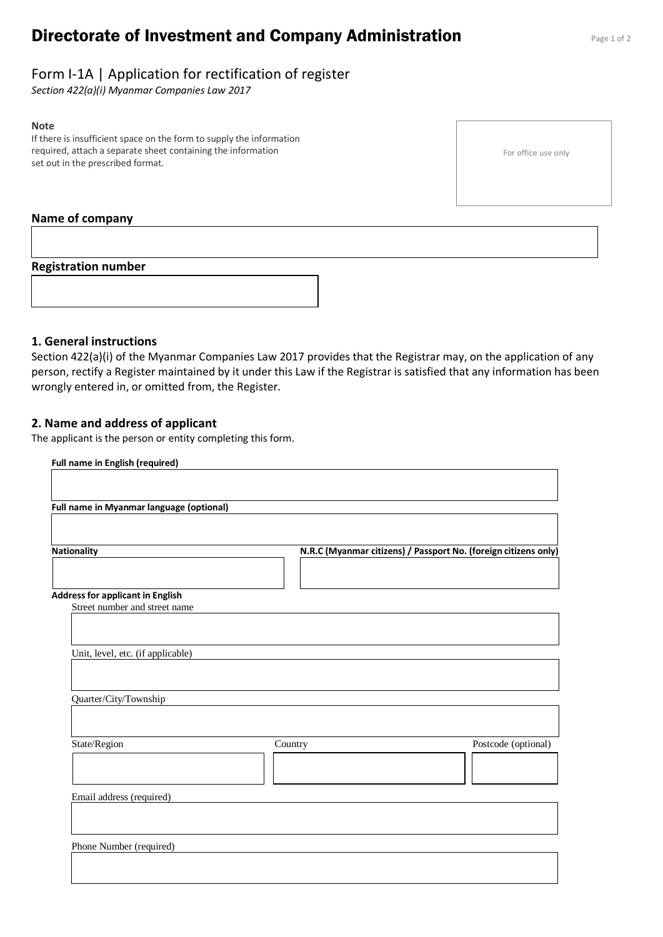# **Directorate of Investment and Company Administration** Page 1 of 2

# Form I-1A | Application for rectification of register

*Section 422(a)(i) Myanmar Companies Law 2017*

#### **Note**

If there is insufficient space on the form to supply the information required, attach a separate sheet containing the information set out in the prescribed format.

For office use only

#### **Name of company**

#### **Registration number**



### **1. General instructions**

Section 422(a)(i) of the Myanmar Companies Law 2017 provides that the Registrar may, on the application of any person, rectify a Register maintained by it under this Law if the Registrar is satisfied that any information has been wrongly entered in, or omitted from, the Register.

#### **2. Name and address of applicant**

The applicant is the person or entity completing this form.

| Full name in English (required)          |         |                                                                 |
|------------------------------------------|---------|-----------------------------------------------------------------|
|                                          |         |                                                                 |
| Full name in Myanmar language (optional) |         |                                                                 |
|                                          |         |                                                                 |
|                                          |         |                                                                 |
| <b>Nationality</b>                       |         | N.R.C (Myanmar citizens) / Passport No. (foreign citizens only) |
|                                          |         |                                                                 |
| <b>Address for applicant in English</b>  |         |                                                                 |
| Street number and street name            |         |                                                                 |
|                                          |         |                                                                 |
| Unit, level, etc. (if applicable)        |         |                                                                 |
|                                          |         |                                                                 |
|                                          |         |                                                                 |
| Quarter/City/Township                    |         |                                                                 |
|                                          |         |                                                                 |
| State/Region                             | Country | Postcode (optional)                                             |
|                                          |         |                                                                 |
|                                          |         |                                                                 |
| Email address (required)                 |         |                                                                 |
|                                          |         |                                                                 |
|                                          |         |                                                                 |
| Phone Number (required)                  |         |                                                                 |
|                                          |         |                                                                 |
|                                          |         |                                                                 |